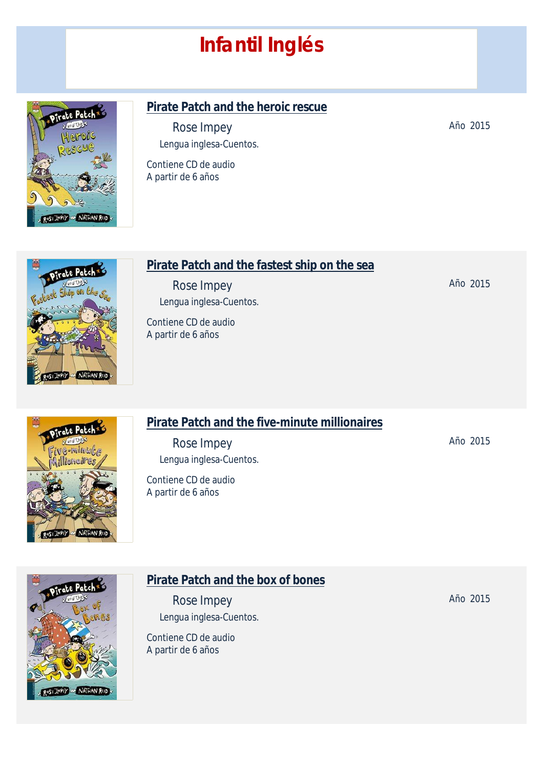# *Infantil Inglés*



#### **Pirate Patch and the heroic rescue**

*Rose Impey* Lengua inglesa-Cuentos.

Contiene CD de audio A partir de 6 años



#### **Pirate Patch and the fastest ship on the sea**

*Rose Impey* Lengua inglesa-Cuentos.

Contiene CD de audio A partir de 6 años

# ԽՄԽԿ peire

ROSE IMPEY OF NATHAN REED

#### **Pirate Patch and the five-minute millionaires**

*Rose Impey* Lengua inglesa-Cuentos.

Contiene CD de audio A partir de 6 años

**Pirate Patch and the box of bones** *Rose Impey* Lengua inglesa-Cuentos.

Contiene CD de audio A partir de 6 años

Año 2015

Año 2015

Año 2015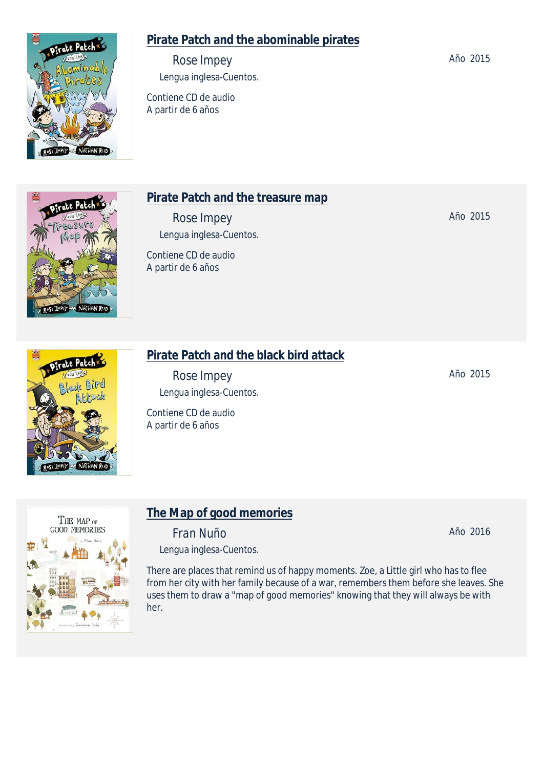# **Pirate Patch and the abominable pirates**

*Rose Impey* Lengua inglesa-Cuentos.

Contiene CD de audio A partir de 6 años

## **Pirate Patch and the treasure map**

*Rose Impey* Lengua inglesa-Cuentos.

Contiene CD de audio A partir de 6 años

# **Pirate Patch and the black bird attack**

*Rose Impey* Lengua inglesa-Cuentos.

Contiene CD de audio A partir de 6 años

**The Map of good memories** *Fran Nuño*

Lengua inglesa-Cuentos.

There are places that remind us of happy moments. Zoe, a Little girl who has to flee from her city with her family because of a war, remembers them before she leaves. She uses them to draw a "map of good memories" knowing that they will always be with her.



THE MAP OF **GOOD MEMORIES** 

Frate Patch

esk Bird







NATHAN REED



Año 2015

Año 2015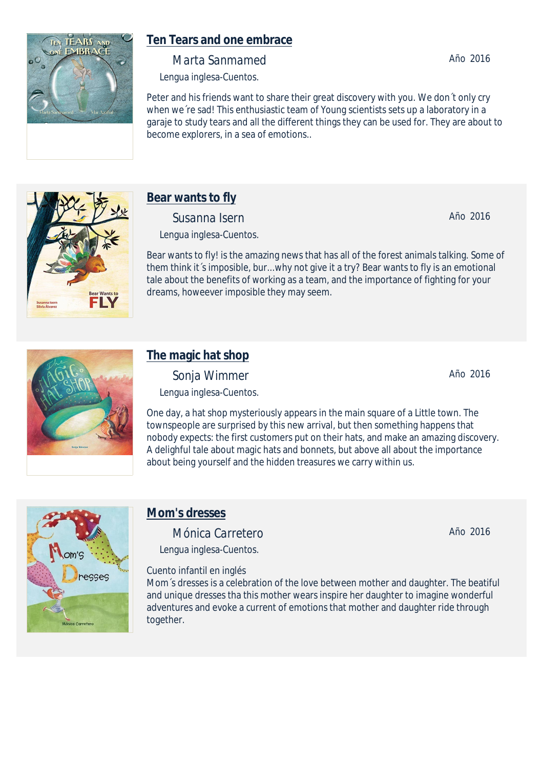

## **Ten Tears and one embrace**

*Marta Sanmamed*

Lengua inglesa-Cuentos.

Peter and his friends want to share their great discovery with you. We don´t only cry when we're sad! This enthusiastic team of Young scientists sets up a laboratory in a garaje to study tears and all the different things they can be used for. They are about to become explorers, in a sea of emotions..



# **Bear wants to fly**

*Susanna Isern* Lengua inglesa-Cuentos.

Bear wants to fly! is the amazing news that has all of the forest animals talking. Some of them think it´s imposible, bur...why not give it a try? Bear wants to fly is an emotional tale about the benefits of working as a team, and the importance of fighting for your dreams, howeever imposible they may seem.

# **The magic hat shop**

*Sonja Wimmer* Lengua inglesa-Cuentos.

One day, a hat shop mysteriously appears in the main square of a Little town. The townspeople are surprised by this new arrival, but then something happens that nobody expects: the first customers put on their hats, and make an amazing discovery. A delighful tale about magic hats and bonnets, but above all about the importance about being yourself and the hidden treasures we carry within us.



# **Mom's dresses**

*Mónica Carretero* Lengua inglesa-Cuentos.

Cuento infantil en inglés

Mom´s dresses is a celebration of the love between mother and daughter. The beatiful and unique dresses tha this mother wears inspire her daughter to imagine wonderful adventures and evoke a current of emotions that mother and daughter ride through together.

Año 2016

Año 2016

Año 2016